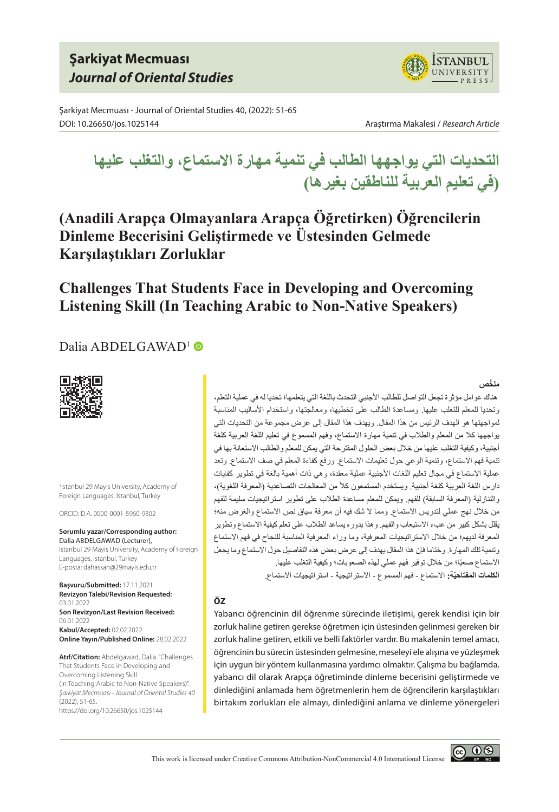# **Şarkiyat Mecmuası** *Journal of Oriental Studies*

Şarkiyat Mecmuası - Journal of Oriental Studies 40, (2022): 51-65 DOI: 10.26650/jos.1025144 Araştırma Makalesi / *Research Article*



**ISTANBUL JNIVERSITY** PRESS

**التحديات التي يواجهها الطالب في تنمية مهارة االستماع، والتغلب عليها )في تعليم العربية للناطقين بغيرها(**

**(Anadili Arapça Olmayanlara Arapça Öğretirken) Öğrencilerin Dinleme Becerisini Geliştirmede ve Üstesinden Gelmede Karşılaştıkları Zorluklar**

# **Challenges That Students Face in Developing and Overcoming Listening Skill (In Teaching Arabic to Non-Native Speakers)**

## Dalia ABDELGAWAD<sup>1</sup>



1 Istanbul 29 Mayis University, Academy of Foreign Languages, Istanbul, Turkey

ORCID: D.A. 0000-0001-5960-9302

**Sorumlu yazar/Corresponding author:** Dalia ABDELGAWAD (Lecturer), Istanbul 29 Mayis University, Academy of Foreign Languages, Istanbul, Turkey E-posta: dahassan@29mayis.edu.tr

**Başvuru/Submitted:** 17.11.2021 **Revizyon Talebi/Revision Requested:**  03.01.2022 **Son Revizyon/Last Revision Received:**  06.01.2022 **Kabul/Accepted:** 02.02.2022 **Online Yayın/Published Online:** 28.02.2022

**Atıf/Citation:** Abdelgawad, Dalia. "Challenges That Students Face in Developing and Overcoming Listening Skill (In Teaching Arabic to Non-Native Speakers)". *Şarkiyat Mecmuası - Journal of Oriental Studies 40* (2022), 51-65. https://doi.org/10.26650/jos.1025144

#### **َّ ملخص**

 هناك عوامل مؤثرة تجعل التواصل للطالب األجنبي التحدث باللغة التي يتعلمها؛ تحديا له في عملية التعلم، وتحديا للمعلم للتغلب عليها. ومساعدة الطالب على تخطيها، ومعالجتها، واستخدام األساليب المناسبة لمواجهتها هو الهدف الرئيس من هذا المقال. ويهدف هذا المقال إلى عرض مجموعة من التحديات التي يواجهها كال من المعلم والطالب في تنمية مهارة االستماع، وفهم المسموع في تعليم اللغة العربية كلغة أجنبية، وكيفية التغلب عليها من خالل بعض الحلول المقترحة التي يمكن للمعلم والطالب االستعانة بها في تنمية فهم الاستماع، وتنمية الوعي حول تعليمات الاستماع. ورفع كفاءة المعلم في صف الاستماع. وتعد عملية الاستماع في مجال تعليم اللغات الأجنبية عملية معقدة، وهي ذات أهمية بالغة في تطوير كفايات دارس اللغة العربية كلغة أجنبية. ويستخدم المستمعون كلاً من المعالجات التصاعدية (المعرفة اللغوية)، والتنازلية (المعرفة السابقة) للفهم. ويمكن للمعلم مساعدة الطلاب على تطوير استراتيجيات سليمة للفهم من خالل نهج عملي لتدريس االستماع. ومما ال شك فيه أن معرفة سياق نص االستماع والغرض منه؛ يقلل بشكل كبير من عبء االستيعاب والفهم. وهذا بدوره يساعد الطالب على تعلم كيفية االستماع وتطوير المعرفة لديهم؛ من خالل االستراتيجيات المعرفية، وما وراء المعرفية المناسبة للنجاح في فهم االستماع وتنمية تلك المهارة. وختاما فإن هذا المقال يهدف إلى عرض بعض هذه التفاصيل حول االستماع وما يجعل الاستماع صعبًا؛ من خلال توفير فهم عملي لهذه الصعوبات؛ وكيفية التغلب عليها. ا**لكلمات المفتاحيّة:** الاستماع ـ فهم المسمو ع ـ الاستر اتيجية ـ استر اتيجيات الاستماع.

#### **ÖZ**

Yabancı öğrencinin dil öğrenme sürecinde iletişimi, gerek kendisi için bir zorluk haline getiren gerekse öğretmen için üstesinden gelinmesi gereken bir zorluk haline getiren, etkili ve belli faktörler vardır. Bu makalenin temel amacı, öğrencinin bu sürecin üstesinden gelmesine, meseleyi ele alışına ve yüzleşmek için uygun bir yöntem kullanmasına yardımcı olmaktır. Çalışma bu bağlamda, yabancı dil olarak Arapça öğretiminde dinleme becerisini geliştirmede ve dinlediğini anlamada hem öğretmenlerin hem de öğrencilerin karşılaştıkları birtakım zorlukları ele almayı, dinlediğini anlama ve dinleme yönergeleri

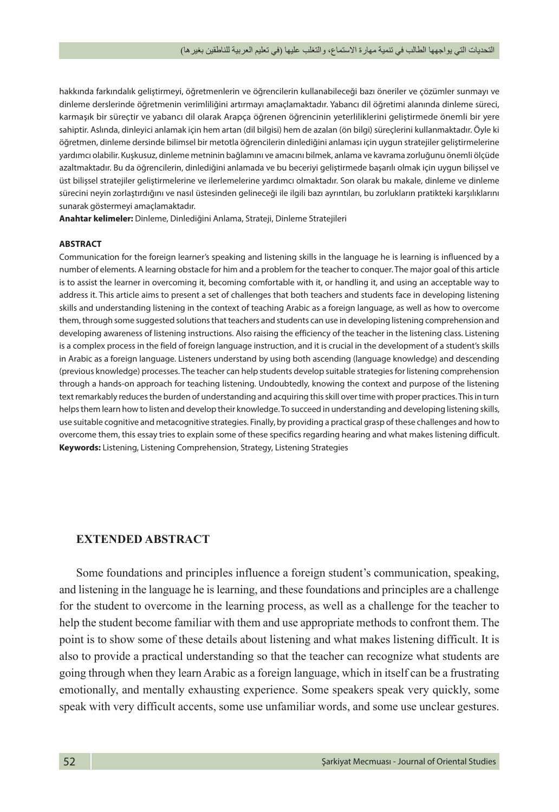hakkında farkındalık geliştirmeyi, öğretmenlerin ve öğrencilerin kullanabileceği bazı öneriler ve çözümler sunmayı ve dinleme derslerinde öğretmenin verimliliğini artırmayı amaçlamaktadır. Yabancı dil öğretimi alanında dinleme süreci, karmaşık bir süreçtir ve yabancı dil olarak Arapça öğrenen öğrencinin yeterliliklerini geliştirmede önemli bir yere sahiptir. Aslında, dinleyici anlamak için hem artan (dil bilgisi) hem de azalan (ön bilgi) süreçlerini kullanmaktadır. Öyle ki öğretmen, dinleme dersinde bilimsel bir metotla öğrencilerin dinlediğini anlaması için uygun stratejiler geliştirmelerine yardımcı olabilir. Kuşkusuz, dinleme metninin bağlamını ve amacını bilmek, anlama ve kavrama zorluğunu önemli ölçüde azaltmaktadır. Bu da öğrencilerin, dinlediğini anlamada ve bu beceriyi geliştirmede başarılı olmak için uygun bilişsel ve üst bilişsel stratejiler geliştirmelerine ve ilerlemelerine yardımcı olmaktadır. Son olarak bu makale, dinleme ve dinleme sürecini neyin zorlaştırdığını ve nasıl üstesinden gelineceği ile ilgili bazı ayrıntıları, bu zorlukların pratikteki karşılıklarını sunarak göstermeyi amaçlamaktadır.

**Anahtar kelimeler:** Dinleme, Dinlediğini Anlama, Strateji, Dinleme Stratejileri

#### **ABSTRACT**

Communication for the foreign learner's speaking and listening skills in the language he is learning is influenced by a number of elements. A learning obstacle for him and a problem for the teacher to conquer. The major goal of this article is to assist the learner in overcoming it, becoming comfortable with it, or handling it, and using an acceptable way to address it. This article aims to present a set of challenges that both teachers and students face in developing listening skills and understanding listening in the context of teaching Arabic as a foreign language, as well as how to overcome them, through some suggested solutions that teachers and students can use in developing listening comprehension and developing awareness of listening instructions. Also raising the efficiency of the teacher in the listening class. Listening is a complex process in the field of foreign language instruction, and it is crucial in the development of a student's skills in Arabic as a foreign language. Listeners understand by using both ascending (language knowledge) and descending (previous knowledge) processes. The teacher can help students develop suitable strategies for listening comprehension through a hands-on approach for teaching listening. Undoubtedly, knowing the context and purpose of the listening text remarkably reduces the burden of understanding and acquiring this skill over time with proper practices. This in turn helps them learn how to listen and develop their knowledge. To succeed in understanding and developing listening skills, use suitable cognitive and metacognitive strategies. Finally, by providing a practical grasp of these challenges and how to overcome them, this essay tries to explain some of these specifics regarding hearing and what makes listening difficult. **Keywords:** Listening, Listening Comprehension, Strategy, Listening Strategies

#### **EXTENDED ABSTRACT**

Some foundations and principles influence a foreign student's communication, speaking, and listening in the language he is learning, and these foundations and principles are a challenge for the student to overcome in the learning process, as well as a challenge for the teacher to help the student become familiar with them and use appropriate methods to confront them. The point is to show some of these details about listening and what makes listening difficult. It is also to provide a practical understanding so that the teacher can recognize what students are going through when they learn Arabic as a foreign language, which in itself can be a frustrating emotionally, and mentally exhausting experience. Some speakers speak very quickly, some speak with very difficult accents, some use unfamiliar words, and some use unclear gestures.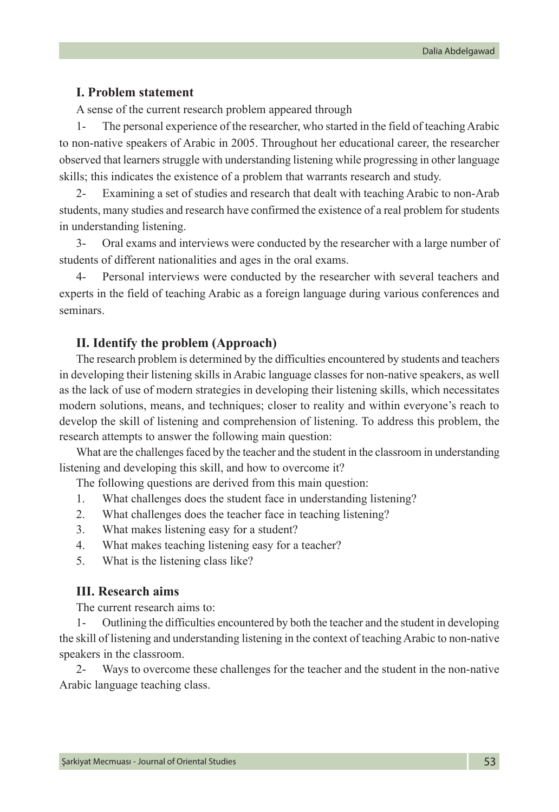#### **I. Problem statement**

A sense of the current research problem appeared through

The personal experience of the researcher, who started in the field of teaching Arabic to non-native speakers of Arabic in 2005. Throughout her educational career, the researcher observed that learners struggle with understanding listening while progressing in other language skills; this indicates the existence of a problem that warrants research and study.

2- Examining a set of studies and research that dealt with teaching Arabic to non-Arab students, many studies and research have confirmed the existence of a real problem for students in understanding listening.

3- Oral exams and interviews were conducted by the researcher with a large number of students of different nationalities and ages in the oral exams.

4- Personal interviews were conducted by the researcher with several teachers and experts in the field of teaching Arabic as a foreign language during various conferences and seminars.

### **II. Identify the problem (Approach)**

The research problem is determined by the difficulties encountered by students and teachers in developing their listening skills in Arabic language classes for non-native speakers, as well as the lack of use of modern strategies in developing their listening skills, which necessitates modern solutions, means, and techniques; closer to reality and within everyone's reach to develop the skill of listening and comprehension of listening. To address this problem, the research attempts to answer the following main question:

What are the challenges faced by the teacher and the student in the classroom in understanding listening and developing this skill, and how to overcome it?

The following questions are derived from this main question:

- 1. What challenges does the student face in understanding listening?
- 2. What challenges does the teacher face in teaching listening?
- 3. What makes listening easy for a student?
- 4. What makes teaching listening easy for a teacher?
- 5. What is the listening class like?

#### **III. Research aims**

The current research aims to:

1- Outlining the difficulties encountered by both the teacher and the student in developing the skill of listening and understanding listening in the context of teaching Arabic to non-native speakers in the classroom.

2- Ways to overcome these challenges for the teacher and the student in the non-native Arabic language teaching class.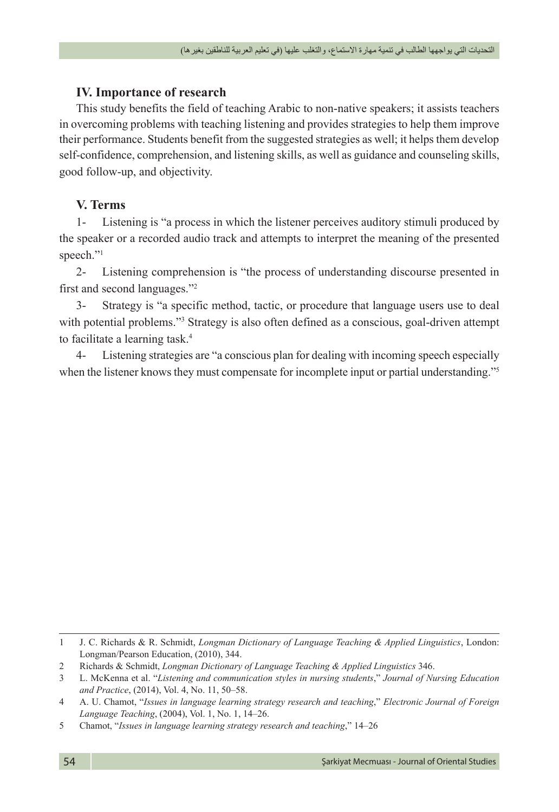## **IV. Importance of research**

This study benefits the field of teaching Arabic to non-native speakers; it assists teachers in overcoming problems with teaching listening and provides strategies to help them improve their performance. Students benefit from the suggested strategies as well; it helps them develop self-confidence, comprehension, and listening skills, as well as guidance and counseling skills, good follow-up, and objectivity.

## **V. Terms**

1- Listening is "a process in which the listener perceives auditory stimuli produced by the speaker or a recorded audio track and attempts to interpret the meaning of the presented speech."<sup>1</sup>

2- Listening comprehension is "the process of understanding discourse presented in first and second languages."2

3- Strategy is "a specific method, tactic, or procedure that language users use to deal with potential problems."<sup>3</sup> Strategy is also often defined as a conscious, goal-driven attempt to facilitate a learning task.<sup>4</sup>

4- Listening strategies are "a conscious plan for dealing with incoming speech especially when the listener knows they must compensate for incomplete input or partial understanding."5

<sup>1</sup> J. C. Richards & R. Schmidt, *Longman Dictionary of Language Teaching & Applied Linguistics*, London: Longman/Pearson Education, (2010), 344.

<sup>2</sup> Richards & Schmidt, *Longman Dictionary of Language Teaching & Applied Linguistics* 346.

<sup>3</sup> L. McKenna et al. "*Listening and communication styles in nursing students*," *Journal of Nursing Education and Practice*, (2014), Vol. 4, No. 11, 50–58.

<sup>4</sup> A. U. Chamot, "*Issues in language learning strategy research and teaching*," *Electronic Journal of Foreign Language Teaching*, (2004), Vol. 1, No. 1, 14–26.

<sup>5</sup> Chamot, "*Issues in language learning strategy research and teaching*," 14–26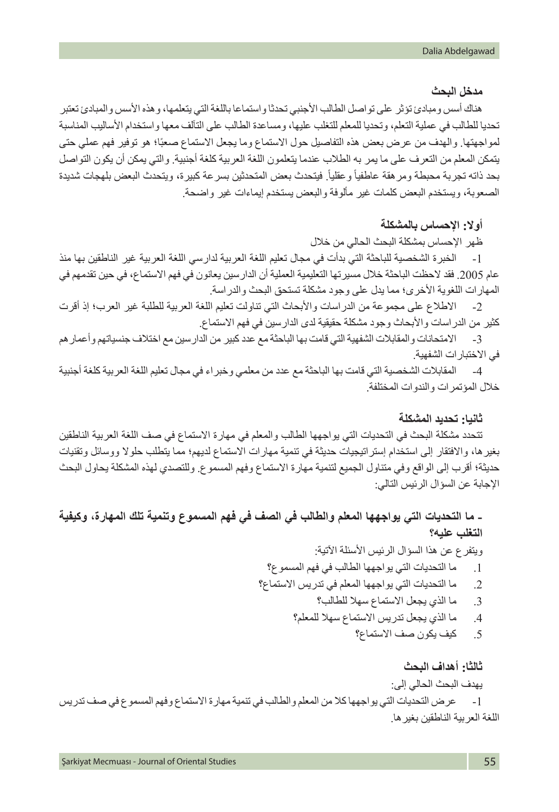#### **مدخل البحث**

هناك أسس ومبادئ تؤثر على تواصل الطالب األجنبي تحدثا واستماعا باللغة التي يتعلمها، وهذه األسس والمبادئ تعتبر تحديا للطالب في عملية التعلم، وتحديا للمعلم للتغلب عليها، ومساعدة الطالب على التآلف معها واستخدام األساليب المناسبة لمواجهتها. والهدف من عرض بعض هذه التفاصيل حول الاستماع وما يجعل الاستماع صعبًا؛ هو توفير فهم عملي حتى يتمكن المعلم من التعرف على ما يمر به الطالب عندما يتعلمون اللغة العربية كلغة أجنبية. والتي يمكن أن يكون التواصل بحد ذاته تجربة محبطة ومر هقة عاطفياً وعقلياً. فيتحدث بعض المتحدثين بسرعة كبيرة، ويتحدث البعض بلهجات شديدة الصعوبة، ويستخدم البعض كلمات غير مألوفة والبعض يستخدم إيماءات غير واضحة.

### **أوال: اإلحساس بالمشكلة**

ظهر اإلحساس بمشكلة البحث الحالي من خالل

-1 الخبرة الشخصية للباحثة التي بدأت في مجال تعليم اللغة العربية لدارسي اللغة العربية غير الناطقين بها منذ عام 2005. فقد لاحظت الباحثة خلال مسيرتها التعليمية العملية أن الدارسين يعانون في فهم الاستماع، في حين تقدمهم في المهارات اللغوية الأخرى؛ مما يدل على وجود مشكلة تستحق البحث والدراسة.

-2 االطالع على مجموعة من الدراسات واألبحاث التي تناولت تعليم اللغة العربية للطلبة غير العرب؛ إذ أقرت كثير من الدر اسات والأبحاث وجود مشكلة حقيقية لدى الدارسين في فهم الاستماع.

-3 االمتحانات والمقابالت الشفهية التي قامت بها الباحثة مع عدد كبير من الدارسين مع اختالف جنسياتهم وأعمارهم في االختبارات الشفهية.

-4 المقابالت الشخصية التي قامت بها الباحثة مع عدد من معلمي وخبراء في مجال تعليم اللغة العربية كلغة أجنبية خالل المؤتمرات والندوات المختلفة.

#### **ثانيا: تحديد المشكلة**

تتحدد مشكلة البحث في التحديات التي يواجهها الطالب والمعلم في مهارة االستماع في صف اللغة العربية الناطقين بغيرها، واالفتقار إلى استخدام إستراتيجيات حديثة في تنمية مهارات االستماع لديهم؛ مما يتطلب حلوال ووسائل وتقنيات حديثة؛ أقرب إلى الواقع وفي متناول الجميع لتنمية مهارة االستماع وفهم المسموع. وللتصدي لهذه المشكلة يحاول البحث اإلجابة عن السؤال الرئيس التالي:

## **- ما التحديات التي يواجهها المعلم والطالب في الصف في فهم المسموع وتنمية تلك المهارة، وكيفية التغلب عليه؟**

ويتفرع عن هذا السؤال الرئيس األسئلة اآلتية:

- .1 ما التحديات التي يواجهها الطالب في فهم المسموع؟
- .2 ما التحديات التي يواجهها المعلم في تدريس االستماع؟
	- .3 ما الذي يجعل االستماع سهال للطالب؟
	- .4 ما الذي يجعل تدريس االستماع سهال للمعلم؟
		- .5 كيف يكون صف االستماع؟

#### **ثالثا: أهداف البحث**

يهدف البحث الحالي إلى:

-1 عرض التحديات التي يواجهها كال من المعلم والطالب في تنمية مهارة االستماع وفهم المسموع في صف تدريس اللغة العربية الناطقين بغيرها.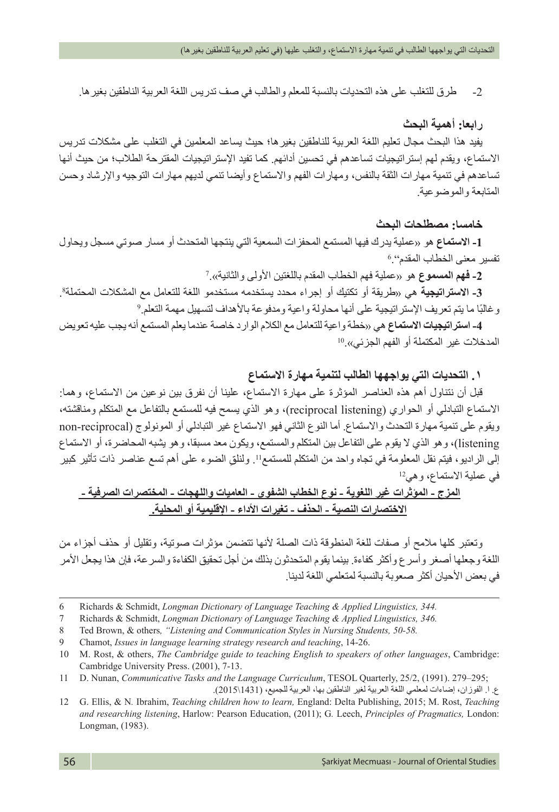-2 طرق للتغلب على هذه التحديات بالنسبة للمعلم والطالب في صف تدريس اللغة العربية الناطقين بغيرها.

### **رابعا: أهمية البحث**

يفيد هذا البحث مجال تعليم اللغة العربية للناطقين بغيرها؛ حيث يساعد المعلمين في التغلب على مشكالت تدريس االستماع، ويقدم لهم إستراتيجيات تساعدهم في تحسين أدائهم. كما تفيد اإلستراتيجيات المقترحة الطالب؛ من حيث أنها تساعدهم في تنمية مهارات الثقة بالنفس، ومهارات الفهم واالستماع وأيضا تنمي لديهم مهارات التوجيه واإلرشاد وحسن المتابعة والموضوعية.

#### **خامسا: مصطلحات البحث**

**-1 االستماع** هو »عملية يدرك فيها المستمع المحفزات السمعية التي ينتجها المتحدث أو مسار صوتي مسجل ويحاول 6 تفسير معنى الخطاب المقدم".

2- **فهم المسموع** هو «عملية فهم الخطاب المقدم باللغتين الأولى والثانية».7

3- الاسترات**يجي**ة هي «طريقة أو تكتيك أو إجراء محدد يستخدمه مستخدمو اللغة للتعامل مع المشكلات المحتملة<sup>8</sup>. وغالبًا ما يتم تعريف الإستراتيجية على أنها محاولة واعية ومدفوعة بالأهداف لتسهيل مهمة التعلم. 9

**-4 استراتيجيات االستماع** هي »خطة واعية للتعامل مع الكالم الوارد خاصة عندما يعلم المستمع أنه يجب عليه تعويض المدخلات غير المكتملة أو الفهم الجزئي».<sup>10</sup>

## **.١ التحديات التي يواجهها الطالب لتنمية مهارة االستماع**

قبل أن نتناول أهم هذه العناصر المؤثرة على مهارة االستماع، علينا أن نفرق بين نوعين من االستماع، وهما: االستماع التبادلي أو الحواري )listening reciprocal)، وهو الذي يسمح فيه للمستمع بالتفاعل مع المتكلم ومناقشته، ويقوم على تنمية مهارة التحدث والاستماع. أما النوع الثاني فهو الاستماع غير التبادلي أو المونولوج (non-reciprocal listening)، وهو الذي ال يقوم على التفاعل بين المتكلم والمستمع، ويكون معد مسبقا، وهو يشبه المحاضرة، أو االستماع إلى الراديو، فيتم نقل المعلومة في تجاه واحد من المتكلم للمستمع<sup>11</sup> ِ . ولنلق الضوء على أهم تسع عناصر ذات تأثير كبير في عملية االستماع، وهي12

**المزج - المؤثرات غير اللغوية - نوع الخطاب الشفوي - العاميات واللهجات - المختصرات الصرفية - االختصارات النصية - الحذف - تغيرات األداء - اإلقليمية أو المحلية.**

وتعتبر كلها مالمح أو صفات للغة المنطوقة ذات الصلة ألنها تتضمن مؤثرات صوتية، وتقليل أو حذف أجزاء من اللغة وجعلها أصغر وأسرع وأكثر كفاءة. بينما يقوم المتحدثون بذلك من أجل تحقيق الكفاءة والسرعة، فإن هذا يجعل األمر في بعض األحيان أكثر صعوبة بالنسبة لمتعلمي اللغة لدينا.

ع. ا. الفوزان، إضاءات لمعلمي اللغة العربية لغير الناطقين بها، العربية للجميع، (1431\2015).

<sup>6</sup> Richards & Schmidt, *Longman Dictionary of Language Teaching & Applied Linguistics, 344.*

<sup>7</sup> Richards & Schmidt, *Longman Dictionary of Language Teaching & Applied Linguistics, 346.*

<sup>8</sup> Ted Brown, & others*, "Listening and Communication Styles in Nursing Students, 50-58.*

<sup>9</sup> Chamot, *Issues in language learning strategy research and teaching*, 14-26.

<sup>10</sup> M. Rost, & others, *The Cambridge guide to teaching English to speakers of other languages*, Cambridge: Cambridge University Press. (2001), 7-13.

<sup>11</sup> D. Nunan, *Communicative Tasks and the Language Curriculum*, TESOL Quarterly, 25/2, (1991). 279–295;

<sup>12</sup> G. Ellis, & N*.* Ibrahim, *Teaching children how to learn,* England: Delta Publishing, 2015; M. Rost, *Teaching and researching listening*, Harlow: Pearson Education, (2011); G*.* Leech, *Principles of Pragmatics,* London: Longman, (1983).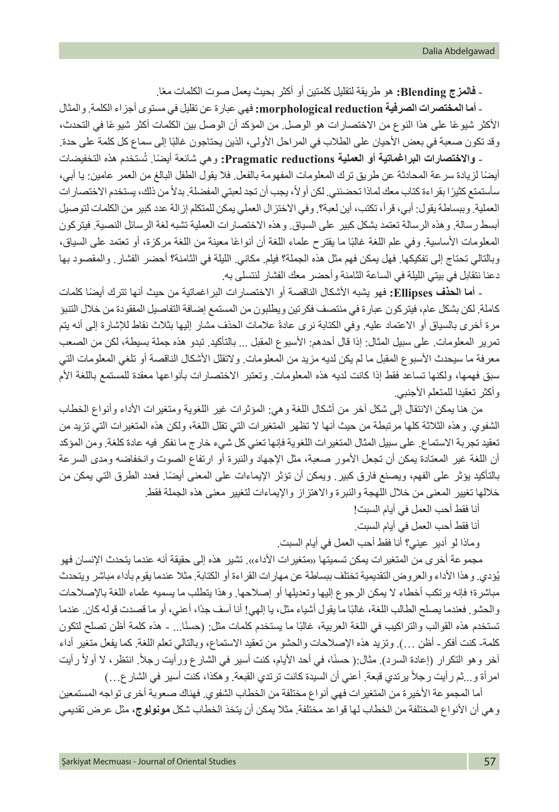ًا. - **فالمزج Blending:** هو طريقة لتقليل كلمتين أو أكثر بحيث يعمل صوت الكلمات مع

- **أما المختصرات الصرفية reduction morphological:** فهي عبارة عن تقليل في مستوى أجزاء الكلمة. والمثال الأكثر شيوعًا على هذا النوع من الاختصارات هو الوصل. من المؤكد أن الوصل بين الكلمات أكثر شيوعًا في التحدث، وقد تكون صعبة في بعض الأحيان على الطلاب في المراحل الأولى، الذين يحتاجون غالبًا إلى سماع كل كلمة على حدة.

ُستخدم هذه التخفيضات - **واالختصارات البراغماتية أو العملية reductions Pragmatic:** ً وهي شائعة أيضا. ت ً أيضا لزيادة سرعة المحادثة عن طريق ترك المعلومات المفهومة بالفعل. فال يقول الطفل البالغ من العمر عامين: يا أبي، سأستمتع كثيرًا بقراءة كتاب معك لماذا تحضنني. لكن أو لأ، يجب أن تجد لعبتي المفضلة. بدلاً من ذلك، يستخدم الاختصار ات العملية. وببساطة يقول: أبي، قرأ، تكتب، أين لعبة؟. وفي االختزال العملي يمكن للمتكلم إزالة عدد كبير من الكلمات لتوصيل أبسط رسالة. وهذه الرسالة تعتمد بشكل كبير على السياق. وهذه االختصارات العملية تشبه لغة الرسائل النصية. فيتركون المعلومات الأساسية. وفي علم اللغة غالبًا ما يقترح علماء اللغة أن أنواعًا معينة من اللغة مركزة، أو تعتمد على السياق، وبالتالي تحتاج إلى تفكيكها. فهل يمكن فهم مثل هذه الجملة؟ فيلم. مكاني. الليلة في الثامنة؟ أحضر الفشار. والمقصود بها دعنا نتقابل في بيتي الليلة في الساعة الثامنة وأحضر معك الفشار لنتسلى به.

- **أما الحذف Ellipses:** ً فهو يشبه األشكال الناقصة أو االختصارات البراغماتية من حيث أنها تترك أيضا كلمات كاملة. لكن بشكل عام، فيتركون عبارة في منتصف فكرتين ويطلبون من المستمع إضافة التفاصيل المفقودة من خالل التنبؤ مرة أخرى بالسياق أو الاعتماد عليه. وفي الكتابة نرى عادةً علامات الحذف مشار إليها بثلاث نقاط للإشارة إلى أنه يتم تمرير المعلومات. على سبيل المثال: إذا قال أحدهم: الأسبوع المقبل ... بالتأكيد. تبدو هذه جملة بسيطة، لكن من الصعب معرفة ما سيحدث األسبوع المقبل ما لم يكن لديه مزيد من المعلومات. والتقلل األشكال الناقصة أو تلغي المعلومات التي سبق فهمها، ولكنها تساعد فقط إذا كانت لديه هذه المعلومات. وتعتبر الاختصارات بأنواعها معقدة للمستمع باللغة الأم و أكثر تعقيدا للمتعلم الأجنبي.

من هنا يمكن الانتقال إلى شكل آخر من أشكال اللغة وهي: المؤثرات غير اللغوية ومتغيرات الأداء وأنواع الخطاب الشفوي. وهذه الثالثة كلها مرتبطة من حيث أنها ال تظهر المتغيرات التي تقلل اللغة، ولكن هذه المتغيرات التي تزيد من تعقيد تجربة االستماع. على سبيل المثال المتغيرات اللغوية فإنها تعني كل شيء خارج ما نفكر فيه عادة كلغة. ومن المؤكد أن اللغة غير المعتادة يمكن أن تجعل الأمور صعبة، مثل الإجهاد والنبرة أو ارتفاع الصوت وانخفاضه ومدى السرعة ً بالتأكيد يؤثر على الفهم، ويصنع فارق كبير. ويمكن أن تؤثر اإليماءات على المعنى أيضا. فعدد الطرق التي يمكن من خاللها تغيير المعنى من خالل اللهجة والنبرة واالهتزاز واإليماءات لتغيير معنى هذه الجملة فقط.

- أنا فقط أحب العمل في أيام السبت!
- أنا فقط أحب العمل في أيام السبت.
- وماذا لو أدير عيني؟ أنا فقط أحب العمل في أيام السبت.

مجمو عة أخرى من المتغيرات يمكن تسميتها «متغيرات الأداء». تشير هذه إلى حقيقة أنه عندما يتحدث الإنسان فهو يُؤدي. و هذا الأداء والعروض التقديمية تختلف ببساطة عن مهارات القراءة أو الكتابة. مثلا عندما يقوم باداء مباشر ويتحدث مباشرة؛ فإنه يرتكب أخطاء ال يمكن الرجوع إليها وتعديلها أو إصالحها. وهذا يتطلب ما يسميه علماء اللغة باإلصالحات والحشو فعندما يصلح الطالب اللغة، غالبًا ما يقول أشياء مثل، يا إلهي! أنا أسف جدًا، أعني، أو ما قصدت قوله كان عندما تستخدم هذه القوالب والتراكيب في اللغة العربية، غالبًا ما يستخدم كلمات مثل: (حسنًا... - هذه كلمة أظن تصلح لتكون كلمة- كنت أفكر- أظن …). وتزيد هذه الإصلاحات والحشو من تعقيد الاستماع، وبالتالي تعلم اللغة. كما يفعل متغير أداء أخر وهو التكرار (إعادة السرد). مثال:( حسنًا، في أحد الأيام، كنت أسير في الشارع ورأيت رجلاً. انتظر، لا أولاً رأيت امرأة و…ثم رأيت رجلاً يرتدي قبعة. أعني أن السيدة كانت ترتدي القبعة. وهكذا، كنت أسير في الشارع.…)

أما المجموعة األخيرة من المتغيرات فهي أنواع مختلفة من الخطاب الشفوي. فهناك صعوبة أخرى تواجه المستمعين وهي أن األنواع المختلفة من الخطاب لها قواعد مختلفة. مثال يمكن أن يتخذ الخطاب شكل **مونولوج**، مثل عرض تقديمي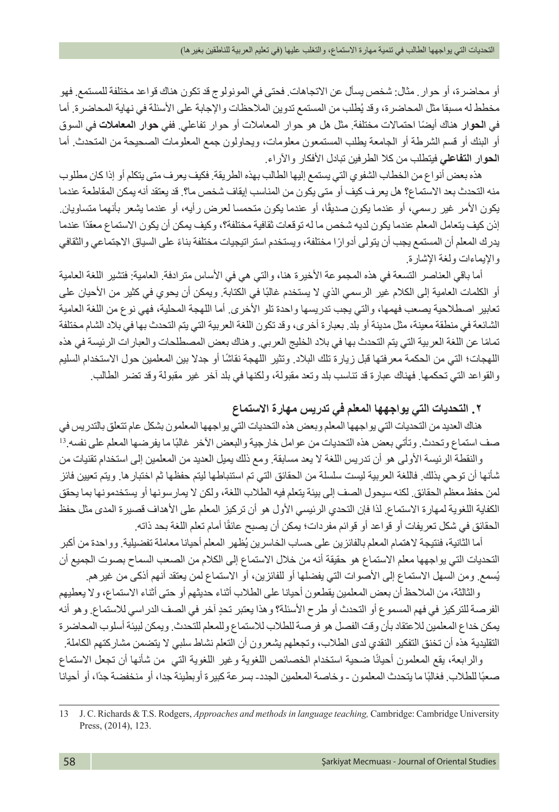أو محاضرة، أو حوار. مثال: شخص يسأل عن االتجاهات. فحتى في المونولوج قد تكون هناك قواعد مختلفة للمستمع. فهو مخطط له مسبقا مثل المحاضرة، وقد يُطلب من المستمع ندوين الملاحظات والإجابة على الاسئلة في نهاية المحاضرة. اما في **الحوار** ً هناك أيضا احتماالت مختلفة. مثل هل هو حوار المعامالت أو حوار تفاعلي. ففي **حوار المعامالت** في السوق أو البنك أو قسم الشرطة أو الجامعة يطلب المستمعون معلومات، ويحاولون جمع المعلومات الصحيحة من المتحدث. أما **الحوار التفاعلي** فيتطلب من كال الطرفين تبادل األفكار واآلراء.

هذه بعض أنواع من الخطاب الشفوي التي يستمع إليها الطالب بهذه الطريقة. فكيف يعرف متى يتكلم أو إذا كان مطلوب منه التحدث بعد االستماع؟ هل يعرف كيف أو متى يكون من المناسب إيقاف شخص ما؟. قد يعتقد أنه يمكن المقاطعة عندما يكون الأمر غير رسمي، أو عندما يكون صديقًا، أو عندما يكون متحمسا لعرض رأيه، أو عندما يشعر بأنهما متساويان. إذن كيف يتعامل المعلم عندما يكون لديه شخص ما له توقعات ثقافية مختلفة؟، وكيف يمكن أن يكون االستماع معقدًا عندما ً يدرك المعلم أن المستمع يجب أن يتولى أدوار ً ا مختلفة، ويستخدم استراتيجيات مختلفة بناء على السياق االجتماعي والثقافي واإليماءات ولغة اإلشارة.

أما باقي العناصر التسعة في هذه المجموعة الأخيرة هنا، والتي هي في الأساس مترادفة. العامية: فتشير اللغة العامية أو الكلمات العامية إلى الكلام غير الرسمي الذي لا يستخدم غالبًا في الكتابة. ويمكن أن يحوي في كثير من الأحيان على تعابير اصطالحية يصعب فهمها، والتي يجب تدريسها واحدة تلو األخرى. أما اللهجة المحلية، فهي نوع من اللغة العامية الشائعة في منطقة معينة، مثل مدينة أو بلد. بعبارة أخرى، وقد تكون اللغة العربية التي يتم التحدث بها في بالد الشام مختلفة ً تماما عن اللغة العربية التي يتم التحدث بها في بالد الخليج العربي. وهناك بعض المصطلحات والعبارات الرئيسة في هذه ً اللهجات؛ التي من الحكمة معرفتها قبل زيارة تلك البالد. وتثير اللهجة نقاشا أو جدال بين المعلمين حول االستخدام السليم والقواعد التي تحكمها. فهناك عبارة قد تناسب بلد وتعد مقبولة، ولكنها في بلد آخر غير مقبولة وقد تضر الطالب.

## **.٢ التحديات التي يواجهها المعلم في تدريس مهارة االستماع**

هناك العديد من التحديات التي يواجهها المعلم وبعض هذه التحديات التي يواجهها المعلمون بشكل عام تتعلق بالتدريس في صف استماع وتحدث. وتأتي بعض هذه التحديات من عوامل خارجية والبعض الاخر غالبًا ما يفرضها المعلم على نفسه 13

والنقطة الرئيسة األولى هو أن تدريس اللغة ال يعد مسابقة. ومع ذلك يميل العديد من المعلمين إلى استخدام تقنيات من شأنها أن توحي بذلك. فاللغة العربية ليست سلسلة من الحقائق التي تم استنباطها ليتم حفظها ثم اختبارها. ويتم تعيين فائز لمن حفظ معظم الحقائق. لكنه سيحول الصف إلى بيئة يتعلم فيه الطالب اللغة، ولكن ال يمارسونها أو يستخدمونها بما يحقق الكفاية اللغوية لمهارة الاستماع. لذا فإن التحدي الرئيسي الأول هو أن تركيز المعلم على الأهداف قصيرة المدى مثل حفظ الحقائق في شكل تعريفات أو قواعد أو قوائم مفردات؛ يمكن أن يصبح عائقًا أمام تعلم اللغة بحد ذاته.

أما الثانية، فنتيجة لاهتمام المعلم بالفائزين على حساب الخاسرين يُظهر المعلم أحيانا معاملة تفضيلية. وواحدة من أكبر التحديات التي يواجهها معلم االستماع هو حقيقة أنه من خالل االستماع إلى الكالم من الصعب السماح بصوت الجميع أن يُسمع ومن السهل الاستماع إلى الأصوات التي يفضلها أو للفائزين، أو الاستماع لمن يعتقد أنهم أذكى من غير هم.

 والثالثة، من المالحظ أن بعض المعلمين يقطعون أحيانا على الطالب أثناء حديثهم أو حتى أثناء االستماع، وال يعطيهم الفرصة للتركيز في فهم المسموع أو التحدث أو طرح الأسئلة؟ وهذا يعتبر تحدٍ آخر في الصف الدراسي للاستماع. وهو أنه يمكن خداع المعلمين لالعتقاد بأن وقت الفصل هو فرصة للطالب لالستماع وللمعلم للتحدث. ويمكن لبيئة أسلوب المحاضرة التقليدية هذه أن تخنق التفكير النقدي لدى الطالب، وتجعلهم يشعرون أن التعلم نشاط سلبي ال يتضمن مشاركتهم الكاملة.

والرابعة، يقع المعلمون أحيانًا ضحية استخدام الخصائص اللغوية وغير اللغوية التي من شأنها أن تجعل الاستماع صعبًا للطلاب. فغالبًا ما يتحدث المعلمون - وخاصة المعلمين الجدد- بسر عة كبيرة أوبطيئة جدا، أو منخفضة جدًا، أو أحيانا

<sup>13</sup> J. C. Richards & T.S. Rodgers, *Approaches and methods in language teaching,* Cambridge: Cambridge University Press, (2014), 123.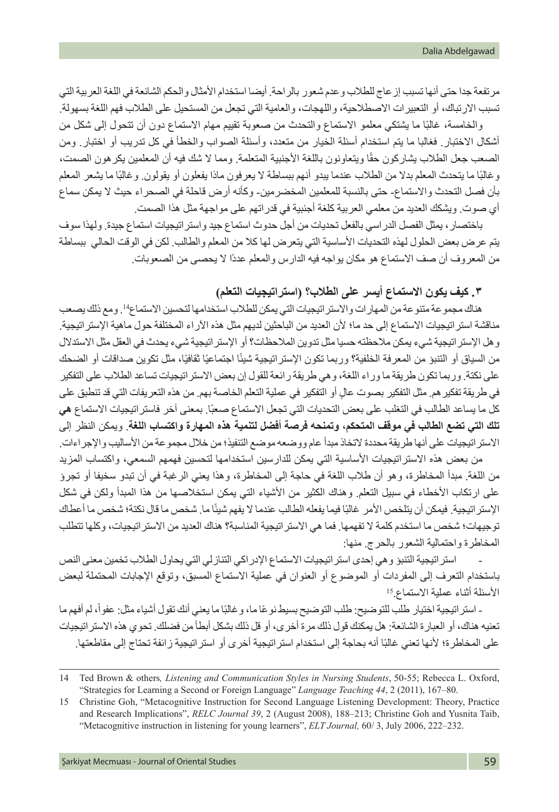مرتفعة جدا حتى أنها تسبب إزعاج للطالب وعدم شعور بالراحة. أيضا استخدام األمثال والحكم الشائعة في اللغة العربية التي تسبب الارتباك، أو التعبير ات الاصطلاحية، واللهجات، والعامية التي تجعل من المستحيل على الطلاب فهم اللغة بسهولة.

والخامسة، غالبًا ما يشتكي معلمو الاستماع والتحدث من صعوبة تقييم مهام الاستماع دون أن تتحول إلى شكل من أشكال االختبار. فغالبا ما يتم استخدام أسئلة الخيار من متعدد، وأسئلة الصواب والخطأ في كل تدريب أو اختبار. ومن الصعب جعل الطلاب يشاركون حقًا ويتعاونون باللغة الأجنبية المتعلمة. ومما لا شك فيه أن المعلمين يكرهون الصمت، وغالبًا ما يتحدث المعلم بدلا من الطلاب عندما ببدو أنهم ببساطة لا يعرفون ماذا يفعلون أو يقولون. وغالبًا ما يشعر المعلم بأن فصل التحدث واالستماع- حتى بالنسبة للمعلمين المخضرمين- وكأنه أرض قاحلة في الصحراء حيث ال يمكن سماع أي صوت. ويشكك العديد من معلمي العربية كلغة أجنبية في قدراتهم على مواجهة مثل هذا الصمت.

باختصار، يمثل الفصل الدراسي بالفعل تحديات من أجل حدوث استماع جيد واستراتيجيات استماع جيدة. ولهذا سوف يتم عرض بعض الحلول لهذه التحديات الأساسية التي يتعرض لها كلا من المعلم والطالب. لكن في الوقت الحالي ببساطة من المعروف أن صف االستماع هو مكان يواجه فيه الدارس والمعلم عددًا ال يحصى من الصعوبات.

**.٣ كيف يكون االستماع أيسر على الطالب؟ )استراتيجيات التعلم(**

هناك مجموعة متنوعة من المهارات واالستراتيجيات التي يمكن للطالب استخدامها لتحسين االستماع.14 ومع ذلك يصعب مناقشة استراتيجيات الاستماع إلى حد ما؛ لأن العديد من الباحثين لديهم مثل هذه الآراء المختلفة حول ماهية الإستر اتيجية. وهل اإلستراتيجية شيء يمكن مالحظته حسيا مثل تدوين المالحظات؟ أو اإلستراتيجية شيء يحدث في العقل مثل االستدالل من السياق أو التنبؤ من المعرفة الخلفية؟ وربما تكون الإستراتيجية شيئًا اجتماعيًا ثقافيًا، مثل تكوين صداقات أو الضحك على نكتة. وربما تكون طريقة ما وراء اللغة، وهي طريقة رائعة للقول إن بعض االستراتيجيات تساعد الطالب على التفكير ٍ في طريقة تفكيرهم. مثل التفكير بصوت عال أو التفكير في عملية التعلم الخاصة بهم. من هذه التعريفات التي قد تنطبق على كل ما يساعد الطالب في التغلب على بعض التحديات التي تجعل الاستماع صعبًا. بمعنى اخر فاستر اتيجيات الاستماع **هي تلك التي تضع الطالب في موقف المتحكم، وتمنحه فرصة أفضل لتنمية هذه المهارة واكتساب اللغة**. ويمكن النظر إلى الاستر اتيجيات على أنها طريقة محددة لاتخاذ مبدأ عام ووضعه موضع التنفيذ؛ من خلال مجموعة من الأساليب والإجراءات.

من بعض هذه الاستراتيجيات الأساسية التي يمكن للدارسين استخدامها لتحسين فهمهم السمعي، واكتساب المزيد من اللغة. مبدأ المخاطرة، وهو أن طالب اللغة في حاجة إلى المخاطرة، وهذا يعني الرغبة في أن تبدو سخيفا أو تجرؤ على ارتكاب الأخطاء في سبيل التعلم. وهناك الكثير من الأشياء التي يمكن استخلاصها من هذا المبدأ ولكن في شكل الإستر اتيجية. فيمكن أن يتلخص الأمر غالبًا فيما يفعله الطالب عندما لا يفهم شيئًا ما. شخص ما قال نكتة؛ شخص ما أعطاك توجيهات؛ شخص ما استخدم كلمة ال تفهمها. فما هي االستراتيجية المناسبة؟ هناك العديد من االستراتيجيات، وكلها تتطلب المخاطرة واحتمالية الشعور بالحرج. منها:

استر اتيجية التنبؤ وهي إحدى استر اتيجيات الاستماع الإدر اكي التنازلي التي يحاول الطلاب تخمين معنى النص باستخدام التعرف إلى المفردات أو الموضوع أو العنوان في عملية االستماع المسبق، وتوقع اإلجابات المحتملة لبعض األسئلة أثناء عملية االستماع15.

ـ استر اتيجية اختيار طلب للتوضيح: طلب التوضيح بسيط نوعًا ما، و غالبًا ما يعني أنك تقول أشياء مثل: عفواً، لم أفهم ما تعنيه هناك، أو العبارة الشائعة: هل يمكنك قول ذلك مرة أخرى، أو قل ذلك بشكل أبطأ من فضلك. تحوي هذه االستراتيجيات على المخاطرة؛ لأنها تعني غالبًا أنه بحاجة إلى استخدام استر اتيجية أخرى أو استر اتيجية زائفة تحتاج إلى مقاطعتها.

<sup>14</sup> Ted Brown & others*, Listening and Communication Styles in Nursing Students*, 50-55; Rebecca L. Oxford, "Strategies for Learning a Second or Foreign Language" *Language Teaching 44*, 2 (2011), 167–80.

<sup>15</sup> Christine Goh, "Metacognitive Instruction for Second Language Listening Development: Theory, Practice and Research Implications", *RELC Journal 39*, 2 (August 2008), 188–213; Christine Goh and Yusnita Taib, "Metacognitive instruction in listening for young learners", *ELT Journal,* 60/ 3, July 2006, 222–232.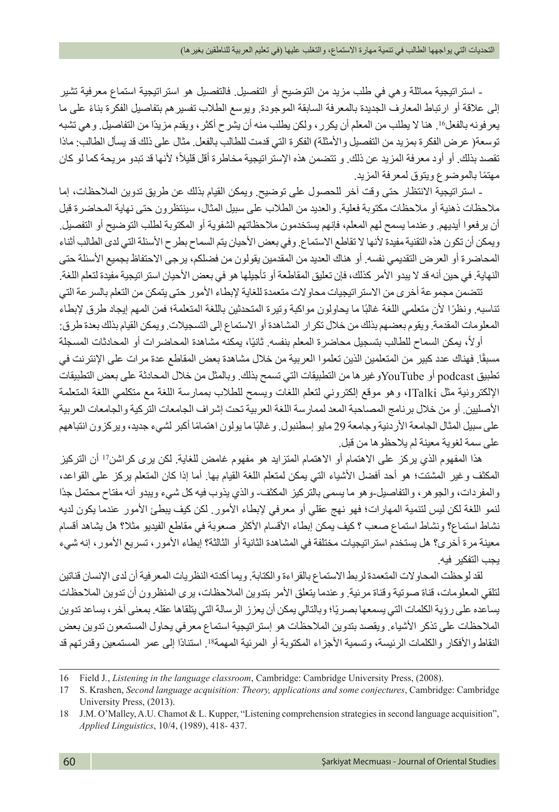- استراتيجية مماثلة وهي في طلب مزيد من التوضيح أو التفصيل. فالتفصيل هو استراتيجية استماع معرفية تشير ً إلى عالقة أو ارتباط المعارف الجديدة بالمعرفة السابقة الموجودة. ويوسع الطالب تفسيرهم بتفاصيل الفكرة بناء على ما يعرفونه بالفعل.16 هنا ال يطلب من المعلم أن يكرر، ولكن يطلب منه أن يشرح أكثر، ويقدم مزيدًا من التفاصيل. وهي تشبه توسعة) عرض الفكرة بمزيد من التفصيل واألمثلة( الفكرة التي قدمت للطالب بالفعل. مثال على ذلك قد يسأل الطالب: ماذا تقصد بذلك. أو أود معرفة المزيد عن ذلك. و تتضمن هذه الإستر اتيجية مخاطرة أقل قليلاً؛ لأنها قد تبدو مريحة كما لو كان ً مهتما بالموضوع ويتوق لمعرفة المزيد.

- استراتيجية االنتظار حتى وقت آخر للحصول على توضيح. ويمكن القيام بذلك عن طريق تدوين المالحظات، إما مالحظات ذهنية أو مالحظات مكتوبة فعلية. والعديد من الطالب على سبيل المثال، سينتظرون حتى نهاية المحاضرة قبل أن يرفعوا أيديهم. وعندما يسمح لهم المعلم، فإنهم يستخدمون مالحظاتهم الشفوية أو المكتوبة لطلب التوضيح أو التفصيل. ويمكن أن تكون هذه التقنية مفيدة لأنها لا تقاطع الاستماع. وفي بعض الأحيان يتم السماح بطرح الأسئلة التي لدى الطالب أثناء المحاضرة أو العرض التقديمي نفسه. أو هناك العديد من المقدمين يقولون من فضلكم، يرجى االحتفاظ بجميع األسئلة حتى النهاية. في حين أنه قد لا يبدو الأمر كذلك، فإن تعليق المقاطعة أو تأجيلها هو في بعض الأحيان استر اتيجية مفيدة لتعلم اللغة.

تتضمن مجموعة أخرى من االستراتيجيات محاوالت متعمدة للغاية إلبطاء األمور حتى يتمكن من التعلم بالسرعة التي تناسبه. ونظرًا لأن متعلمي اللغة غالبًا ما يحاولون مواكبة وتيرة المتحدثين باللغة المتعلمة؛ فمن المهم إيجاد طرق لإبطاء المعلومات المقدمة. ويقوم بعضهم بذلك من خالل تكرار المشاهدة أو االستماع إلى التسجيالت. ويمكن القيام بذلك بعدة طرق:

أولاً، يمكن السماح للطالب بتسجيل محاضرة المعلم بنفسه. ثانيًا، يمكنه مشاهدة المحاضرات أو المحادثات المسجلة مسبقًا. فهناك عدد كبير من المتعلمين الذين تعلموا العربية من خلال مشاهدة بعض المقاطع عدة مرات على الإنترنت في تطبيق podcast أو YouTubeوغيرها من التطبيقات التي تسمح بذلك. وبالمثل من خالل المحادثة على بعض التطبيقات اإللكترونية مثل ITalki، وهو موقع إلكتروني لتعلم اللغات ويسمح للطالب بممارسة اللغة مع متكلمي اللغة المتعلمة األصليين. أو من خالل برنامج المصاحبة المعد لممارسة اللغة العربية تحت إشراف الجامعات التركية والجامعات العربية على سبيل المثال الجامعة الأر دنية وجامعة 29 مايو إسطنبول وغالبًا ما يولون اهتمامًا أكبر لشيء جديد، ويركزون انتباههم على سمة لغوية معينة لم يالحظوها من قبل.

هذا المفهوم الذي يركز على االهتمام أو االهتمام المتزايد هو مفهوم غامض للغاية. لكن يرى كراشن<sup>17</sup> أن التركيز المكثف وغير المشتت؛ هو أحد أفضل األشياء التي يمكن لمتعلم اللغة القيام بها. أما إذا كان المتعلم يركز على القواعد، والمفردات، والجوهر، والتفاصيل-وهو ما يسمى بالتركيز المكثف- والذي يذوب فيه كل شيء ويبدو أنه مفتاح محتمل جدًا لنمو اللغة لكن ليس لتنمية المهارات؛ فهو نهج عقلي أو معرفي لإبطاء الأمور . لكن كيف يبطئ الأمور عندما يكون لديه نشاط استماع؟ ونشاط استماع صعب ؟ كيف يمكن إبطاء األقسام األكثر صعوبة في مقاطع الفيديو مثال؟ هل يشاهد أقسام معينة مرة أخرى؟ هل يستخدم استراتيجيات مختلفة في المشاهدة الثانية أو الثالثة؟ إبطاء األمور، تسريع األمور، إنه شيء يجب التفكير فيه.

لقد لوحظت المحاوالت المتعمدة لربط االستماع بالقراءة والكتابة. ويما أكدته النظريات المعرفية أن لدى اإلنسان قناتين لتلقي المعلومات، قناة صوتية وقناة مرئية. وعندما يتعلق األمر بتدوين المالحظات، يرى المنظرون أن تدوين المالحظات يساعده على رؤية الكلمات التي يسمعها بصريًا؛ وبالتالي يمكن أن يعزز الرسالة التي يتلقاها عقله. بمعنى أخر ، يساعد تدوين المالحظات على تذكر األشياء. ويقصد بتدوين المالحظات هو إستراتيجية استماع معرفي يحاول المستمعون تدوين بعض النقاط والأفكار والكلمات الرئيسة، وتسمية الأجزاء المكتوبة أو المرئية المهمة<sup>18</sup>. استنادًا إلى عمر المستمعين وقدرتهم قد

<sup>16</sup> Field J*.*, *Listening in the language classroom*, Cambridge: Cambridge University Press, (2008).

<sup>17</sup> S. Krashen, *Second language acquisition: Theory, applications and some conjectures*, Cambridge: Cambridge University Press, (2013).

<sup>18</sup> J.M. O'Malley, A.U. Chamot & L. Kupper, "Listening comprehension strategies in second language acquisition", *Applied Linguistics*, 10/4, (1989), 418- 437.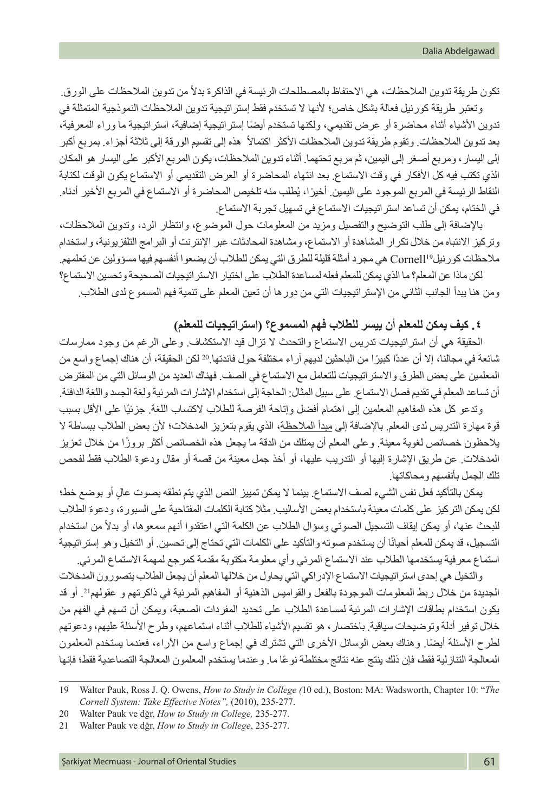تكون طريقة تدوين الملاحظات، هي الاحتفاظ بالمصطلحات الرئيسة في الذاكرة بدلاً من تدوين الملاحظات على الورق. وتعتبر طريقة كورنيل فعالة بشكل خاص؛ ألنها ال تستخدم فقط إستراتيجية تدوين المالحظات النموذجية المتمثلة في ً تدوين األشياء أثناء محاضرة أو عرض تقديمي، ولكنها تستخدم أيضا إستراتيجية إضافية، استراتيجية ما وراء المعرفية، بعد تدوين الملاحظات. وتقوم طريقة تدوين الملاحظات الأكثر اكتمالاً هذه إلى تقسيم الورقة إلى ثلاثة أجزاء. بمربع أكبر إلى اليسار، ومربع أصغر إلى اليمين، ثم مربع تحتهما. أثناء تدوين المالحظات، يكون المربع األكبر على اليسار هو المكان الذي تكتب فيه كل األفكار في وقت االستماع. بعد انتهاء المحاضرة أو العرض التقديمي أو االستماع يكون الوقت لكتابة النقاط الرئيسة في المربع الموجود على اليمين. اخيرًا، يُطلب منه تلخيص المحاضرة او الاستماع في المربع الأخير ادناه. في الختام، يمكن أن تساعد استراتيجيات االستماع في تسهيل تجربة االستماع.

باإلضافة إلى طلب التوضيح والتفصيل ومزيد من المعلومات حول الموضوع، وانتظار الرد، وتدوين المالحظات، وتركيز االنتباه من خالل تكرار المشاهدة أو االستماع، ومشاهدة المحادثات عبر اإلنترنت أو البرامج التلفزيونية، واستخدام مالحظات كورنيل<sup>19</sup>Cornell هي مجرد أمثلة قليلة للطرق التي يمكن للطالب أن يضعوا أنفسهم فيها مسؤولين عن تعلمهم.

لكن ماذا عن المعلم؟ ما الذي يمكن للمعلم فعله لمساعدة الطالب على اختيار االستراتيجيات الصحيحة وتحسين االستماع؟ ومن هنا يبدأ الجانب الثاني من اإلستراتيجيات التي من دورها أن تعين المعلم على تنمية فهم المسموع لدى الطالب.

**.٤ كيف يمكن للمعلم أن ييسر للطالب فهم المسموع؟ )استراتيجيات للمعلم(**

الحقيقة هي أن استراتيجيات تدريس االستماع والتحدث ال تزال قيد االستكشاف. وعلى الرغم من وجود ممارسات شائعة في مجالنا، إلا أن عددًا كبيرًا من الباحثين لديهم آراء مختلفة حول فائدتها.20 لكن الحقيقة، أن هناك إجماع واسع من المعلمين على بعض الطرق واالستراتيجيات للتعامل مع االستماع في الصف. فهناك العديد من الوسائل التي من المفترض أن تساعد المعلم في تقديم فصل االستماع. على سبيل المثال: الحاجة إلى استخدام اإلشارات المرئية ولغة الجسد واللغة الدافئة.

وتدعو كل هذه المفاهيم المعلمين إلى اهتمام أفضل وإتاحة الفرصة للطلاب لاكتساب اللغة. جزئيًا على الأقل بسبب قوة مهارة التدريس لدى المعلم. باإلضافة إلى مبدأ المالحظة، الذي يقوم بتعزيز المدخالت؛ ألن بعض الطالب ببساطة ال ً يالحظون خصائص لغوية معينة. وعلى المعلم أن يمتلك من الدقة ما يجعل هذه الخصائص أكثر بروزا من خالل تعزيز المدخلات. عن طريق الإشارة إليها أو التدريب عليها، أو أخذ جمل معينة من قصة أو مقال ودعوة الطلاب فقط لفحص تلك الجمل بأنفسهم ومحاكاتها.

ٍ يمكن بالتأكيد فعل نفس الشيء لصف االستماع. بينما ال يمكن تمييز النص الذي يتم نطقه بصوت عال أو بوضع خط؛ لكن يمكن التركيز على كلمات معينة باستخدام بعض األساليب. مثال كتابة الكلمات المفتاحية على السبورة، ودعوة الطالب للبحث عنها، أو يمكن إيقاف التسجيل الصوتي وسؤال الطلاب عن الكلمة التي اعتقدوا أنهم سمعوها، أو بدلاً من استخدام التسجيل، قد يمكن للمعلم أحيانًا أن يستخدم صوته والتأكيد على الكلمات التي تحتاج إلى تحسين. أو التخيل وهو إستراتيجية استماع معرفية يستخدمها الطالب عند االستماع المرئي وأي معلومة مكتوبة مقدمة كمرجع لمهمة االستماع المرئي.

والتخيل هي إحدى استر اتيجيات الاستماع الإدراكي التي يحاول من خلالها المعلم أن يجعل الطلاب يتصورون المدخلات الجديدة من خالل ربط المعلومات الموجودة بالفعل والقواميس الذهنية أو المفاهيم المرئية في ذاكرتهم و عقولهم.21 أو قد يكون استخدام بطاقات اإلشارات المرئية لمساعدة الطالب على تحديد المفردات الصعبة، ويمكن أن تسهم في الفهم من خلال توفير أدلة وتوضيحات سياقية. باختصار ، هو تقسيم الأشياء للطلاب أثناء استماعهم، وطرح الأسئلة عليهم، ودعوتهم ً لطرح األسئلة أيضا. وهناك بعض الوسائل األخرى التي تشترك في إجماع واسع من اآلراء، فعندما يستخدم المعلمون ً المعالجة التنازلية فقط، فإن ذلك ينتج عنه نتائج مختلطة نوعا ما. وعندما يستخدم المعلمون المعالجة التصاعدية فقط؛ فإنها

<sup>19</sup> Walter Pauk, Ross J. Q. Owens, *How to Study in College (*10 ed.), Boston: MA: Wadsworth, Chapter 10: "*The Cornell System: Take Effective Notes",* (2010), 235-277.

<sup>20</sup> Walter Pauk ve dğr, *How to Study in College,* 235-277.

<sup>21</sup> Walter Pauk ve dğr, *How to Study in College*, 235-277.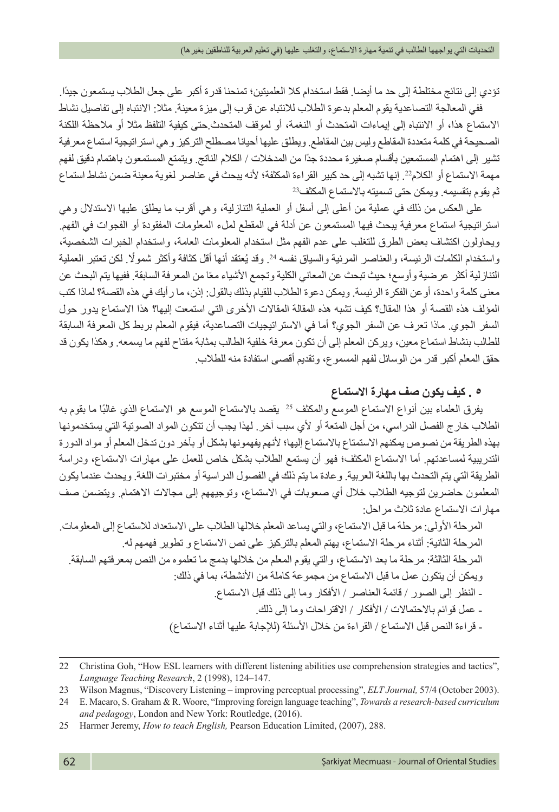تؤدي إلى نتائج مختلطة إلى حد ما أيضا. فقط استخدام كال العلميتين؛ تمنحنا قدرة أكبر على جعل الطالب يستمعون جيدًا. ففي المعالجة التصاعدية يقوم المعلم بدعوة الطالب لالنتباه عن قرب إلى ميزة معينة. مثال: االنتباه إلى تفاصيل نشاط االستماع هذا، أو االنتباه إلى إيماءات المتحدث أو النغمة، أو لموقف المتحدث.حتى كيفية التلفظ مثال أو مالحظة اللكنة الصحيحة في كلمة متعددة المقاطع وليس بين المقاطع. ويطلق عليها أحيانا مصطلح التركيز وهي استراتيجية استماع معرفية تشير إلى اهتمام المستمعين بأقسام صغيرة محددة جدًا من المدخالت / الكالم الناتج. ويتمتع المستمعون باهتمام دقيق لفهم مهمة االستماع أو الكالم.22 إنها تشبه إلى حد كبير القراءة المكثفة؛ ألنه يبحث في عناصر لغوية معينة ضمن نشاط استماع ثم يقوم بتقسيمه. ويمكن حتى تسميته باالستماع المكثف23

على العكس من ذلك في عملية من أعلى إلى أسفل أو العملية التنازلية، وهي أقرب ما يطلق عليها االستدالل وهي استراتيجية استماع معرفية يبحث فيها المستمعون عن أدلة في المقطع لملء المعلومات المفقودة أو الفجوات في الفهم. ويحاولون اكتشاف بعض الطرق للتغلب على عدم الفهم مثل استخدام المعلومات العامة، واستخدام الخبرات الشخصية، واستخدام الكلمات الرئيسة، والعناصر المرئية والسياق نفسه 24. وقد يُعتقد أنها أقل كثافة وأكثر شمولًا. لكن تعتبر العملية التنازلية أكثر عرضية وأوسع؛ حيث تبحث عن المعاني الكلية وتجمع الاشياء معًا من المعرفة السابقة. ففيها يتم البحث عن معنى كلمة واحدة، أوعن الفكرة الرئيسة. ويمكن دعوة الطالب للقيام بذلك بالقول: إذن، ما رأيك في هذه القصة؟ لماذا كتب المؤلف هذه القصة أو هذا المقال؟ كيف تشبه هذه المقالة المقالات الأخرى التي استمعت إليها؟ هذا الاستماع يدور حول السفر الجوي. ماذا تعرف عن السفر الجوي؟ أما في االستراتيجيات التصاعدية، فيقوم المعلم بربط كل المعرفة السابقة للطالب بنشاط استماع معين، ويركن المعلم إلى أن تكون معرفة خلفية الطالب بمثابة مفتاح لفهم ما يسمعه. وهكذا يكون قد حقق المعلم أكبر قدر من الوسائل لفهم المسموع، وتقديم أقصى استفادة منه للطالب.

## **٥ . كيف يكون صف مهارة االستماع**

يفرق العلماء بين أنواع الاستماع الموسع والمكثف 2<sup>5</sup> يقصد بالاستماع الموسع هو الاستماع الذي غالبًا ما بقوم بـه الطالب خارج الفصل الدراسي، من أجل المتعة أو ألي سبب آخر. لهذا يجب أن تتكون المواد الصوتية التي يستخدمونها بهذه الطريقة من نصوص يمكنهم االستمتاع باالستماع إليها؛ ألنهم يفهمونها بشكل أو بآخر دون تدخل المعلم أو مواد الدورة التدريبية لمساعدتهم. أما االستماع المكثف؛ فهو أن يستمع الطالب بشكل خاص للعمل على مهارات االستماع، ودراسة الطريقة التي يتم التحدث بها باللغة العربية. وعادة ما يتم ذلك في الفصول الدراسية أو مختبرات اللغة. ويحدث عندما يكون المعلمون حاضرين لتوجيه الطلاب خلال أي صعوبات في الاستماع، وتوجيههم إلى مجالات الاهتمام. ويتضمن صف مهارات االستماع عادة ثالث مراحل:

المرحلة األولى: مرحلة ما قبل االستماع، والتي يساعد المعلم خاللها الطالب على االستعداد لالستماع إلى المعلومات. المرحلة الثانية: أثناء مرحلة االستماع، يهتم المعلم بالتركيز على نص االستماع و تطوير فهمهم له. المرحلة الثالثة: مرحلة ما بعد االستماع، والتي يقوم المعلم من خاللها بدمج ما تعلموه من النص بمعرفتهم السابقة. ويمكن أن يتكون عمل ما قبل الاستماع من مجموعة كاملة من الأنشطة، بما في ذلك: - النظر إلى الصور / قائمة العناصر / األفكار وما إلى ذلك قبل االستماع. - عمل قوائم باالحتماالت / األفكار / االقتراحات وما إلى ذلك. - قراءة النص قبل الاستماع / القراءة من خلال الأسئلة (للإجابة عليها أثناء الاستماع)

<sup>22</sup> Christina Goh, "How ESL learners with different listening abilities use comprehension strategies and tactics", *Language Teaching Research*, 2 (1998), 124–147.

<sup>23</sup> Wilson Magnus, "Discovery Listening – improving perceptual processing", *ELT Journal,* 57/4 (October 2003).

<sup>24</sup> E. Macaro, S. Graham & R. Woore, "Improving foreign language teaching", *Towards a research-based curriculum and pedagogy*, London and New York: Routledge, (2016).

<sup>25</sup> Harmer Jeremy, *How to teach English,* Pearson Education Limited, (2007), 288.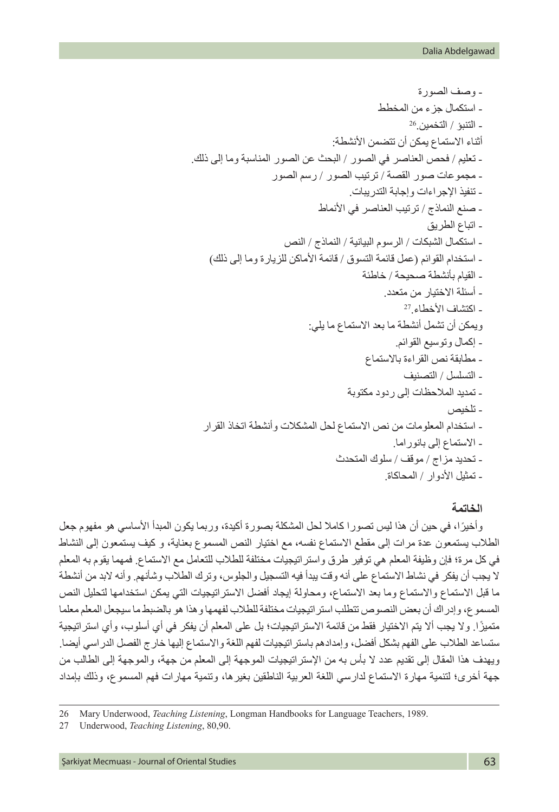- وصف الصورة - استكمال جزء من المخطط - التنبؤ / التخمين26. أثناء االستماع يمكن أن تتضمن األنشطة: - تعليم / فحص العناصر في الصور / البحث عن الصور المناسبة وما إلى ذلك. - مجموعات صور القصة / ترتيب الصور / رسم الصور - تنفيذ اإلجراءات وإجابة التدريبات. - صنع النماذج / ترتيب العناصر في األنماط - اتباع الطريق - استكمال الشبكات / الرسوم البيانية / النماذج / النص - استخدام القوائم )عمل قائمة التسوق / قائمة األماكن للزيارة وما إلى ذلك( - القيام بأنشطة صحيحة / خاطئة - أسئلة االختيار من متعدد. - اكتشاف األخطاء27. ويمكن أن تشمل أنشطة ما بعد االستماع ما يلي: - إكمال وتوسيع القوائم. - مطابقة نص القراءة باالستماع - التسلسل / التصنيف - تمديد المالحظات إلى ردود مكتوبة - تلخيص - استخدام المعلومات من نص االستماع لحل المشكالت وأنشطة اتخاذ القرار - االستماع إلى بانوراما. - تحديد مزاج / موقف / سلوك المتحدث - تمثيل األدوار / المحاكاة.

#### **الخاتمة**

ً وأخيرا، في حين أن هذا ليس تصورا كامال لحل المشكلة بصورة أكيدة، وربما يكون المبدأ األساسي هو مفهوم جعل الطالب يستمعون عدة مرات إلى مقطع االستماع نفسه، مع اختيار النص المسموع بعناية، و كيف يستمعون إلى النشاط في كل مرة؛ فإن وظيفة المعلم هي توفير طرق واستراتيجيات مختلفة للطالب للتعامل مع االستماع. فمهما يقوم به المعلم ال يجب أن يفكر في نشاط االستماع على أنه وقت يبدأ فيه التسجيل والجلوس، وترك الطالب وشأنهم. وأنه البد من أنشطة ما قبل الاستماع والاستماع وما بعد الاستماع، ومحاولة إيجاد أفضل الاستر اتيجيات التي يمكن استخدامها لتحليل النص المسموع، وإدراك أن بعض النصوص تتطلب استراتيجيات مختلفة للطالب لفهمها وهذا هو بالضبط ما سيجعل المعلم معلما ً متميزا. وال يجب أال يتم االختيار فقط من قائمة االستراتيجيات؛ بل على المعلم أن يفكر في أي أسلوب، وأي استراتيجية ستساعد الطالب على الفهم بشكل أفضل، وإمدادهم باستراتيجيات لفهم اللغة واالستماع إليها خارج الفصل الدراسي أيضا. ويهدف هذا المقال إلى تقديم عدد ال بأس به من اإلستراتيجيات الموجهة إلى المعلم من جهة، والموجهة إلى الطالب من جهة أخرى؛ لتنمية مهارة االستماع لدارسي اللغة العربية الناطقين بغيرها، وتنمية مهارات فهم المسموع، وذلك بإمداد

<sup>26</sup> Mary Underwood, *Teaching Listening*, Longman Handbooks for Language Teachers, 1989.

<sup>27</sup> Underwood, *Teaching Listening*, 80,90.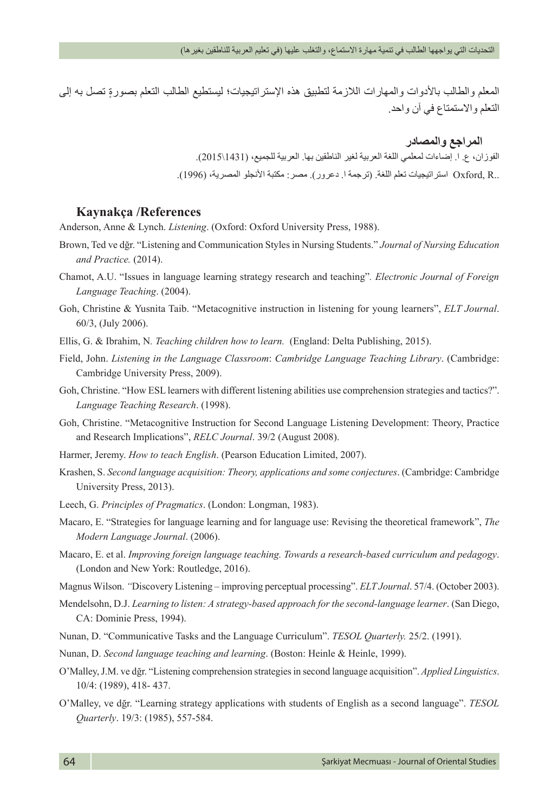المعلم والطالب بالأدوات والمهارات اللازمة لتطبيق هذه الإستراتيجيات؛ ليستطيع الطالب التعلم بصورةٍ تصلُّ به إلى التعلم واالستمتاع في آن واحد.

### **المراجع والمصادر**

الفوزان، ع. ا. إضاءات لمعلمي اللغة العربية لغير الناطقين بها. العربية للجميع، )1431\2015(. ..R ,Oxford استراتيجيات تعلم اللغة. )ترجمة ا. دعرور(. مصر: مكتبة األنجلو المصرية، )1996(.

#### **Kaynakça /References**

Anderson, Anne & Lynch. *Listening*. (Oxford: Oxford University Press, 1988).

- Brown, Ted ve dğr. "Listening and Communication Styles in Nursing Students." *Journal of Nursing Education and Practice.* (2014).
- Chamot, A.U. "Issues in language learning strategy research and teaching"*. Electronic Journal of Foreign Language Teaching*. (2004).
- Goh, Christine & Yusnita Taib. "Metacognitive instruction in listening for young learners", *ELT Journal*. 60/3, (July 2006).
- Ellis, G. & Ibrahim, N*. Teaching children how to learn.* (England: Delta Publishing, 2015).
- Field, John. *Listening in the Language Classroom*: *Cambridge Language Teaching Library*. (Cambridge: Cambridge University Press, 2009).
- Goh, Christine. "How ESL learners with different listening abilities use comprehension strategies and tactics?". *Language Teaching Research*. (1998).
- Goh, Christine. "Metacognitive Instruction for Second Language Listening Development: Theory, Practice and Research Implications", *RELC Journal*. 39/2 (August 2008).
- Harmer, Jeremy. *How to teach English*. (Pearson Education Limited, 2007).
- Krashen, S. *Second language acquisition: Theory, applications and some conjectures*. (Cambridge: Cambridge University Press, 2013).
- Leech, G. *Principles of Pragmatics*. (London: Longman, 1983).
- Macaro, E. "Strategies for language learning and for language use: Revising the theoretical framework", *The Modern Language Journal*. (2006).
- Macaro, E. et al. *Improving foreign language teaching. Towards a research-based curriculum and pedagogy*. (London and New York: Routledge, 2016).
- Magnus Wilson. *"*Discovery Listening improving perceptual processing". *ELT Journal*. 57/4. (October 2003).
- Mendelsohn, D.J. *Learning to listen: A strategy-based approach for the second-language learner*. (San Diego, CA: Dominie Press, 1994).
- Nunan, D. "Communicative Tasks and the Language Curriculum". *TESOL Quarterly.* 25/2. (1991).
- Nunan, D. *Second language teaching and learning*. (Boston: Heinle & Heinle, 1999).
- O'Malley, J.M. ve dğr. "Listening comprehension strategies in second language acquisition". *Applied Linguistics*. 10/4: (1989), 418- 437.
- O'Malley, ve dğr. "Learning strategy applications with students of English as a second language". *TESOL Quarterly*. 19/3: (1985), 557-584.